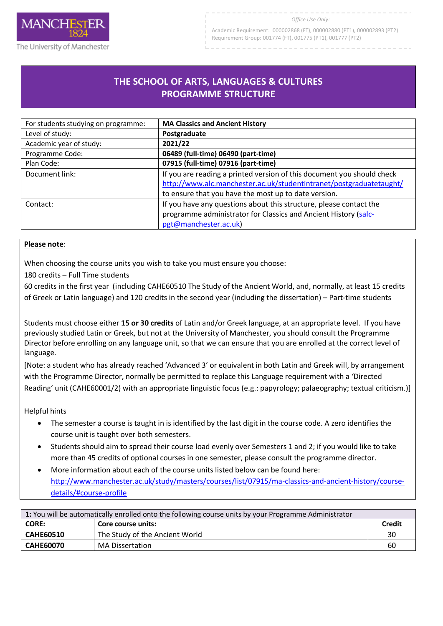

#### *Office Use Only:*

Academic Requirement: 000002868 (FT), 000002880 (PT1), 000002893 (PT2) Requirement Group: 001774 (FT), 001775 (PT1), 001777 (PT2)

# **THE SCHOOL OF ARTS, LANGUAGES & CULTURES PROGRAMME STRUCTURE**

R

| For students studying on programme: | <b>MA Classics and Ancient History</b>                                 |
|-------------------------------------|------------------------------------------------------------------------|
| Level of study:                     | Postgraduate                                                           |
| Academic year of study:             | 2021/22                                                                |
| Programme Code:                     | 06489 (full-time) 06490 (part-time)                                    |
| Plan Code:                          | 07915 (full-time) 07916 (part-time)                                    |
| Document link:                      | If you are reading a printed version of this document you should check |
|                                     | http://www.alc.manchester.ac.uk/studentintranet/postgraduatetaught/    |
|                                     | to ensure that you have the most up to date version.                   |
| Contact:                            | If you have any questions about this structure, please contact the     |
|                                     | programme administrator for Classics and Ancient History (salc-        |
|                                     | pgt@manchester.ac.uk)                                                  |

#### **Please note**:

When choosing the course units you wish to take you must ensure you choose:

180 credits – Full Time students

60 credits in the first year (including CAHE60510 The Study of the Ancient World, and, normally, at least 15 credits of Greek or Latin language) and 120 credits in the second year (including the dissertation) – Part-time students

Students must choose either **15 or 30 credits** of Latin and/or Greek language, at an appropriate level. If you have previously studied Latin or Greek, but not at the University of Manchester, you should consult the Programme Director before enrolling on any language unit, so that we can ensure that you are enrolled at the correct level of language.

[Note: a student who has already reached 'Advanced 3' or equivalent in both Latin and Greek will, by arrangement with the Programme Director, normally be permitted to replace this Language requirement with a 'Directed Reading' unit (CAHE60001/2) with an appropriate linguistic focus (e.g.: papyrology; palaeography; textual criticism.)]

Helpful hints

- The semester a course is taught in is identified by the last digit in the course code. A zero identifies the course unit is taught over both semesters.
- Students should aim to spread their course load evenly over Semesters 1 and 2; if you would like to take more than 45 credits of optional courses in one semester, please consult the programme director.
- More information about each of the course units listed below can be found here: [http://www.manchester.ac.uk/study/masters/courses/list/07915/ma-classics-and-ancient-history/course](http://www.manchester.ac.uk/study/masters/courses/list/07915/ma-classics-and-ancient-history/course-details/#course-profile)[details/#course-profile](http://www.manchester.ac.uk/study/masters/courses/list/07915/ma-classics-and-ancient-history/course-details/#course-profile)

| 1: You will be automatically enrolled onto the following course units by your Programme Administrator |                                |        |
|-------------------------------------------------------------------------------------------------------|--------------------------------|--------|
| <b>CORE:</b>                                                                                          | Core course units:             | Credit |
| <b>CAHE60510</b>                                                                                      | The Study of the Ancient World | 30     |
| <b>CAHE60070</b>                                                                                      | MA Dissertation                | 60     |